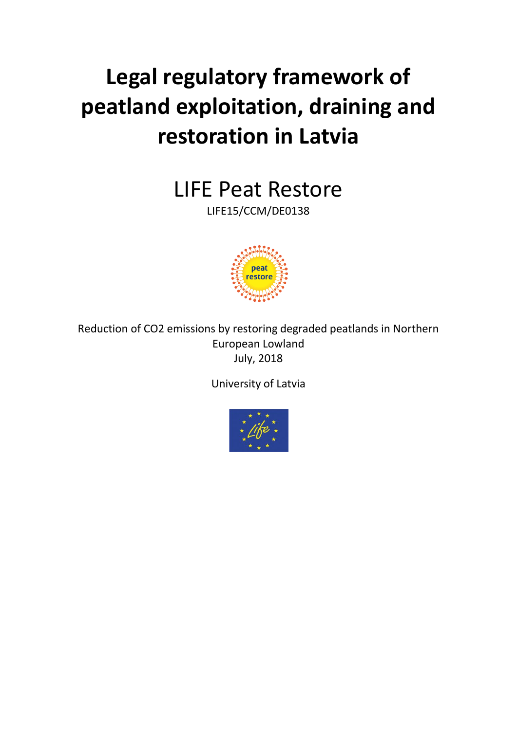# **Legal regulatory framework of peatland exploitation, draining and restoration in Latvia**

LIFE Peat Restore

LIFE15/CCM/DE0138



Reduction of CO2 emissions by restoring degraded peatlands in Northern European Lowland July, 2018

University of Latvia

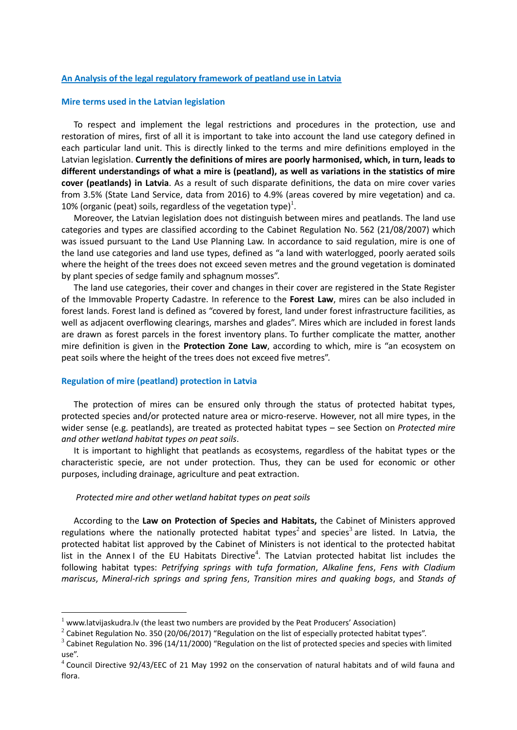## **An Analysis of the legal regulatory framework of peatland use in Latvia**

### **Mire terms used in the Latvian legislation**

To respect and implement the legal restrictions and procedures in the protection, use and restoration of mires, first of all it is important to take into account the land use category defined in each particular land unit. This is directly linked to the terms and mire definitions employed in the Latvian legislation. **Currently the definitions of mires are poorly harmonised, which, in turn, leads to different understandings of what a mire is (peatland), as well as variations in the statistics of mire cover (peatlands) in Latvia**. As a result of such disparate definitions, the data on mire cover varies from 3.5% (State Land Service, data from 2016) to 4.9% (areas covered by mire vegetation) and ca. 10% (organic (peat) soils, regardless of the vegetation type)<sup>1</sup>.

Moreover, the Latvian legislation does not distinguish between mires and peatlands. The land use categories and types are classified according to the Cabinet Regulation No. 562 (21/08/2007) which was issued pursuant to the Land Use Planning Law. In accordance to said regulation, mire is one of the land use categories and land use types, defined as "a land with waterlogged, poorly aerated soils where the height of the trees does not exceed seven metres and the ground vegetation is dominated by plant species of sedge family and sphagnum mosses".

The land use categories, their cover and changes in their cover are registered in the State Register of the Immovable Property Cadastre. In reference to the **Forest Law**, mires can be also included in forest lands. Forest land is defined as "covered by forest, land under forest infrastructure facilities, as well as adjacent overflowing clearings, marshes and glades". Mires which are included in forest lands are drawn as forest parcels in the forest inventory plans. To further complicate the matter, another mire definition is given in the **Protection Zone Law**, according to which, mire is "an ecosystem on peat soils where the height of the trees does not exceed five metres".

#### **Regulation of mire (peatland) protection in Latvia**

1

The protection of mires can be ensured only through the status of protected habitat types, protected species and/or protected nature area or micro-reserve. However, not all mire types, in the wider sense (e.g. peatlands), are treated as protected habitat types – see Section on *Protected mire and other wetland habitat types on peat soils*.

It is important to highlight that peatlands as ecosystems, regardless of the habitat types or the characteristic specie, are not under protection. Thus, they can be used for economic or other purposes, including drainage, agriculture and peat extraction.

## *Protected mire and other wetland habitat types on peat soils*

According to the **Law on Protection of Species and Habitats,** the Cabinet of Ministers approved regulations where the nationally protected habitat types<sup>2</sup> and species<sup>3</sup> are listed. In Latvia, the protected habitat list approved by the Cabinet of Ministers is not identical to the protected habitat list in the Annex I of the EU Habitats Directive<sup>4</sup>. The Latvian protected habitat list includes the following habitat types: *Petrifying springs with tufa formation*, *Alkaline fens*, *Fens with Cladium mariscus*, *Mineral-rich springs and spring fens*, *Transition mires and quaking bogs*, and *Stands of*

 $1$  [www.latvijaskudra.lv](http://www.latvijaskudra.lv/) (the least two numbers are provided by the Peat Producers' Association)

<sup>&</sup>lt;sup>2</sup> Cabinet Regulation No. 350 (20/06/2017) "Regulation on the list of especially protected habitat types".

 $3$  Cabinet Regulation No. 396 (14/11/2000) "Regulation on the list of protected species and species with limited use".

<sup>&</sup>lt;sup>4</sup> Council Directive 92/43/EEC of 21 May 1992 on the conservation of natural habitats and of wild fauna and flora.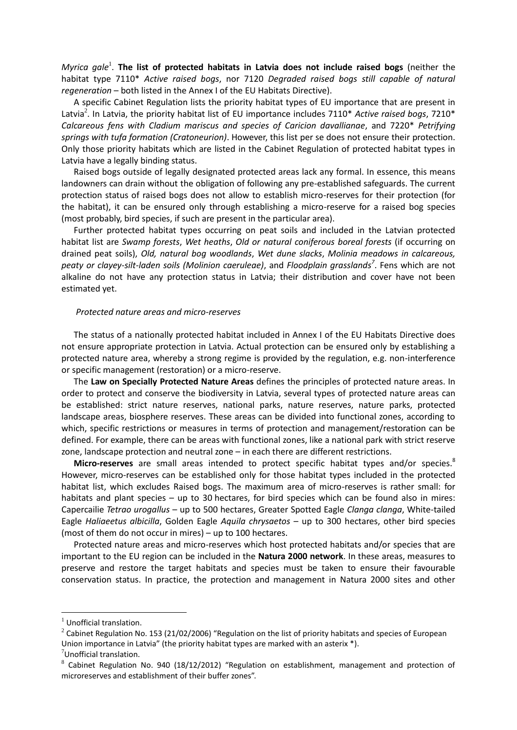Myrica gale<sup>1</sup>. The list of protected habitats in Latvia does not include raised bogs (neither the habitat type 7110\* *Active raised bogs*, nor 7120 *Degraded raised bogs still capable of natural regeneration* – both listed in the Annex I of the EU Habitats Directive).

A specific Cabinet Regulation lists the priority habitat types of EU importance that are present in Latvia<sup>2</sup>. In Latvia, the priority habitat list of EU importance includes 7110<sup>\*</sup> Active raised bogs, 7210<sup>\*</sup> *Calcareous fens with Cladium mariscus and species of Caricion davallianae*, and 7220\* *Petrifying springs with tufa formation (Cratoneurion)*. However, this list per se does not ensure their protection. Only those priority habitats which are listed in the Cabinet Regulation of protected habitat types in Latvia have a legally binding status.

Raised bogs outside of legally designated protected areas lack any formal. In essence, this means landowners can drain without the obligation of following any pre-established safeguards. The current protection status of raised bogs does not allow to establish micro-reserves for their protection (for the habitat), it can be ensured only through establishing a micro-reserve for a raised bog species (most probably, bird species, if such are present in the particular area).

Further protected habitat types occurring on peat soils and included in the Latvian protected habitat list are *Swamp forests*, *Wet heaths*, *Old or natural coniferous boreal forests* (if occurring on drained peat soils), *Old, natural bog woodlands*, *Wet dune slacks*, *Molinia meadows in calcareous, peaty or clayey-silt-laden soils (Molinion caeruleae)*, and *Floodplain grasslands<sup>7</sup>* . Fens which are not alkaline do not have any protection status in Latvia; their distribution and cover have not been estimated yet.

## *Protected nature areas and micro-reserves*

The status of a nationally protected habitat included in Annex I of the EU Habitats Directive does not ensure appropriate protection in Latvia. Actual protection can be ensured only by establishing a protected nature area, whereby a strong regime is provided by the regulation, e.g. non-interference or specific management (restoration) or a micro-reserve.

The **Law on Specially Protected Nature Areas** defines the principles of protected nature areas. In order to protect and conserve the biodiversity in Latvia, several types of protected nature areas can be established: strict nature reserves, national parks, nature reserves, nature parks, protected landscape areas, biosphere reserves. These areas can be divided into functional zones, according to which, specific restrictions or measures in terms of protection and management/restoration can be defined. For example, there can be areas with functional zones, like a national park with strict reserve zone, landscape protection and neutral zone – in each there are different restrictions.

**Micro-reserves** are small areas intended to protect specific habitat types and/or species.<sup>8</sup> However, micro-reserves can be established only for those habitat types included in the protected habitat list, which excludes Raised bogs. The maximum area of micro-reserves is rather small: for habitats and plant species – up to 30 hectares, for bird species which can be found also in mires: Capercailie *Tetrao urogallus* – up to 500 hectares, Greater Spotted Eagle *Clanga clanga*, White-tailed Eagle *Haliaeetus albicilla*, Golden Eagle *Aquila chrysaetos* – up to 300 hectares, other bird species (most of them do not occur in mires) – up to 100 hectares.

Protected nature areas and micro-reserves which host protected habitats and/or species that are important to the EU region can be included in the **Natura 2000 network**. In these areas, measures to preserve and restore the target habitats and species must be taken to ensure their favourable conservation status. In practice, the protection and management in Natura 2000 sites and other

1

 $1$  Unofficial translation.

<sup>&</sup>lt;sup>2</sup> Cabinet Regulation No. 153 (21/02/2006) "Regulation on the list of priority habitats and species of European Union importance in Latvia" (the priority habitat types are marked with an asterix \*).

 $7$ Unofficial translation.

 $8$  Cabinet Regulation No. 940 (18/12/2012) "Regulation on establishment, management and protection of microreserves and establishment of their buffer zones".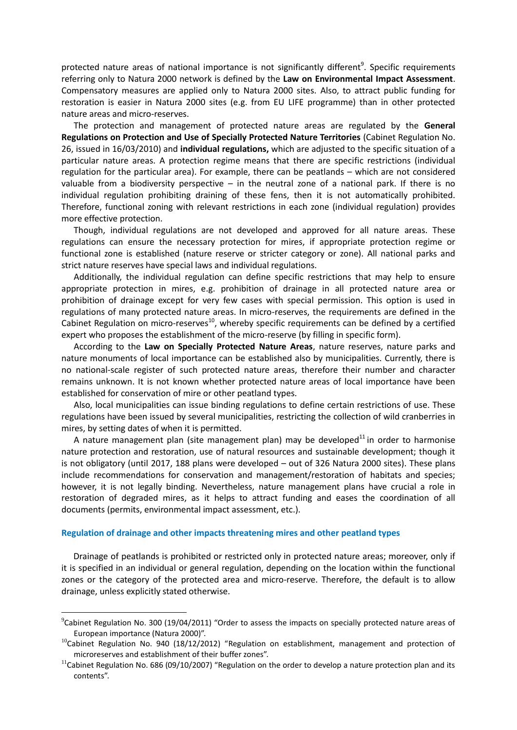protected nature areas of national importance is not significantly different<sup>9</sup>. Specific requirements referring only to Natura 2000 network is defined by the **Law on Environmental Impact Assessment**. Compensatory measures are applied only to Natura 2000 sites. Also, to attract public funding for restoration is easier in Natura 2000 sites (e.g. from EU LIFE programme) than in other protected nature areas and micro-reserves.

The protection and management of protected nature areas are regulated by the **General Regulations on Protection and Use of Specially Protected Nature Territories** (Cabinet Regulation No. 26, issued in 16/03/2010) and **individual regulations,** which are adjusted to the specific situation of a particular nature areas. A protection regime means that there are specific restrictions (individual regulation for the particular area). For example, there can be peatlands – which are not considered valuable from a biodiversity perspective  $-$  in the neutral zone of a national park. If there is no individual regulation prohibiting draining of these fens, then it is not automatically prohibited. Therefore, functional zoning with relevant restrictions in each zone (individual regulation) provides more effective protection.

Though, individual regulations are not developed and approved for all nature areas. These regulations can ensure the necessary protection for mires, if appropriate protection regime or functional zone is established (nature reserve or stricter category or zone). All national parks and strict nature reserves have special laws and individual regulations.

Additionally, the individual regulation can define specific restrictions that may help to ensure appropriate protection in mires, e.g. prohibition of drainage in all protected nature area or prohibition of drainage except for very few cases with special permission. This option is used in regulations of many protected nature areas. In micro-reserves, the requirements are defined in the Cabinet Regulation on micro-reserves<sup>10</sup>, whereby specific requirements can be defined by a certified expert who proposes the establishment of the micro-reserve (by filling in specific form).

According to the **Law on Specially Protected Nature Areas**, nature reserves, nature parks and nature monuments of local importance can be established also by municipalities. Currently, there is no national-scale register of such protected nature areas, therefore their number and character remains unknown. It is not known whether protected nature areas of local importance have been established for conservation of mire or other peatland types.

Also, local municipalities can issue binding regulations to define certain restrictions of use. These regulations have been issued by several municipalities, restricting the collection of wild cranberries in mires, by setting dates of when it is permitted.

A nature management plan (site management plan) may be developed $^{11}$  in order to harmonise nature protection and restoration, use of natural resources and sustainable development; though it is not obligatory (until 2017, 188 plans were developed – out of 326 Natura 2000 sites). These plans include recommendations for conservation and management/restoration of habitats and species; however, it is not legally binding. Nevertheless, nature management plans have crucial a role in restoration of degraded mires, as it helps to attract funding and eases the coordination of all documents (permits, environmental impact assessment, etc.).

#### **Regulation of drainage and other impacts threatening mires and other peatland types**

1

Drainage of peatlands is prohibited or restricted only in protected nature areas; moreover, only if it is specified in an individual or general regulation, depending on the location within the functional zones or the category of the protected area and micro-reserve. Therefore, the default is to allow drainage, unless explicitly stated otherwise.

 $^{9}$ Cabinet Regulation No. 300 (19/04/2011) "Order to assess the impacts on specially protected nature areas of European importance (Natura 2000)".

 $10$ Cabinet Regulation No. 940 (18/12/2012) "Regulation on establishment, management and protection of microreserves and establishment of their buffer zones".

 $11$ Cabinet Regulation No. 686 (09/10/2007) "Regulation on the order to develop a nature protection plan and its contents".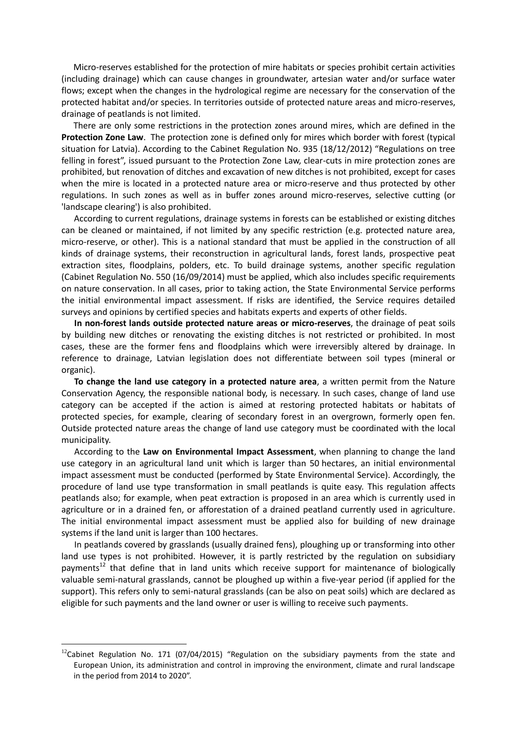Micro-reserves established for the protection of mire habitats or species prohibit certain activities (including drainage) which can cause changes in groundwater, artesian water and/or surface water flows; except when the changes in the hydrological regime are necessary for the conservation of the protected habitat and/or species. In territories outside of protected nature areas and micro-reserves, drainage of peatlands is not limited.

There are only some restrictions in the protection zones around mires, which are defined in the **Protection Zone Law**. The protection zone is defined only for mires which border with forest (typical situation for Latvia). According to the Cabinet Regulation No. 935 (18/12/2012) "Regulations on tree felling in forest", issued pursuant to the Protection Zone Law, clear-cuts in mire protection zones are prohibited, but renovation of ditches and excavation of new ditches is not prohibited, except for cases when the mire is located in a protected nature area or micro-reserve and thus protected by other regulations. In such zones as well as in buffer zones around micro-reserves, selective cutting (or 'landscape clearing') is also prohibited.

According to current regulations, drainage systems in forests can be established or existing ditches can be cleaned or maintained, if not limited by any specific restriction (e.g. protected nature area, micro-reserve, or other). This is a national standard that must be applied in the construction of all kinds of drainage systems, their reconstruction in agricultural lands, forest lands, prospective peat extraction sites, floodplains, polders, etc. To build drainage systems, another specific regulation (Cabinet Regulation No. 550 (16/09/2014) must be applied, which also includes specific requirements on nature conservation. In all cases, prior to taking action, the State Environmental Service performs the initial environmental impact assessment. If risks are identified, the Service requires detailed surveys and opinions by certified species and habitats experts and experts of other fields.

**In non-forest lands outside protected nature areas or micro-reserves**, the drainage of peat soils by building new ditches or renovating the existing ditches is not restricted or prohibited. In most cases, these are the former fens and floodplains which were irreversibly altered by drainage. In reference to drainage, Latvian legislation does not differentiate between soil types (mineral or organic).

**To change the land use category in a protected nature area**, a written permit from the Nature Conservation Agency, the responsible national body, is necessary. In such cases, change of land use category can be accepted if the action is aimed at restoring protected habitats or habitats of protected species, for example, clearing of secondary forest in an overgrown, formerly open fen. Outside protected nature areas the change of land use category must be coordinated with the local municipality.

According to the **Law on Environmental Impact Assessment**, when planning to change the land use category in an agricultural land unit which is larger than 50 hectares, an initial environmental impact assessment must be conducted (performed by State Environmental Service). Accordingly, the procedure of land use type transformation in small peatlands is quite easy. This regulation affects peatlands also; for example, when peat extraction is proposed in an area which is currently used in agriculture or in a drained fen, or afforestation of a drained peatland currently used in agriculture. The initial environmental impact assessment must be applied also for building of new drainage systems if the land unit is larger than 100 hectares.

In peatlands covered by grasslands (usually drained fens), ploughing up or transforming into other land use types is not prohibited. However, it is partly restricted by the regulation on subsidiary payments<sup>12</sup> that define that in land units which receive support for maintenance of biologically valuable semi-natural grasslands, cannot be ploughed up within a five-year period (if applied for the support). This refers only to semi-natural grasslands (can be also on peat soils) which are declared as eligible for such payments and the land owner or user is willing to receive such payments.

1

 $12$ Cabinet Regulation No. 171 (07/04/2015) "Regulation on the subsidiary payments from the state and European Union, its administration and control in improving the environment, climate and rural landscape in the period from 2014 to 2020".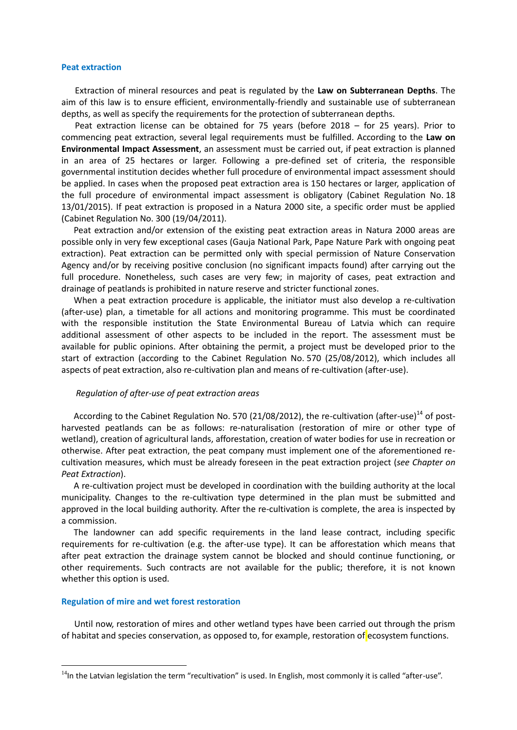#### **Peat extraction**

Extraction of mineral resources and peat is regulated by the **Law on Subterranean Depths**. The aim of this law is to ensure efficient, environmentally-friendly and sustainable use of subterranean depths, as well as specify the requirements for the protection of subterranean depths.

Peat extraction license can be obtained for 75 years (before 2018 – for 25 years). Prior to commencing peat extraction, several legal requirements must be fulfilled. According to the **Law on Environmental Impact Assessment**, an assessment must be carried out, if peat extraction is planned in an area of 25 hectares or larger. Following a pre-defined set of criteria, the responsible governmental institution decides whether full procedure of environmental impact assessment should be applied. In cases when the proposed peat extraction area is 150 hectares or larger, application of the full procedure of environmental impact assessment is obligatory (Cabinet Regulation No. 18 13/01/2015). If peat extraction is proposed in a Natura 2000 site, a specific order must be applied (Cabinet Regulation No. 300 (19/04/2011).

Peat extraction and/or extension of the existing peat extraction areas in Natura 2000 areas are possible only in very few exceptional cases (Gauja National Park, Pape Nature Park with ongoing peat extraction). Peat extraction can be permitted only with special permission of Nature Conservation Agency and/or by receiving positive conclusion (no significant impacts found) after carrying out the full procedure. Nonetheless, such cases are very few; in majority of cases, peat extraction and drainage of peatlands is prohibited in nature reserve and stricter functional zones.

When a peat extraction procedure is applicable, the initiator must also develop a re-cultivation (after-use) plan, a timetable for all actions and monitoring programme. This must be coordinated with the responsible institution the State Environmental Bureau of Latvia which can require additional assessment of other aspects to be included in the report. The assessment must be available for public opinions. After obtaining the permit, a project must be developed prior to the start of extraction (according to the Cabinet Regulation No. 570 (25/08/2012), which includes all aspects of peat extraction, also re-cultivation plan and means of re-cultivation (after-use).

### *Regulation of after-use of peat extraction areas*

According to the Cabinet Regulation No. 570 (21/08/2012), the re-cultivation (after-use)<sup>14</sup> of postharvested peatlands can be as follows: re-naturalisation (restoration of mire or other type of wetland), creation of agricultural lands, afforestation, creation of water bodies for use in recreation or otherwise. After peat extraction, the peat company must implement one of the aforementioned recultivation measures, which must be already foreseen in the peat extraction project (*see Chapter on Peat Extraction*).

A re-cultivation project must be developed in coordination with the building authority at the local municipality. Changes to the re-cultivation type determined in the plan must be submitted and approved in the local building authority. After the re-cultivation is complete, the area is inspected by a commission.

The landowner can add specific requirements in the land lease contract, including specific requirements for re-cultivation (e.g. the after-use type). It can be afforestation which means that after peat extraction the drainage system cannot be blocked and should continue functioning, or other requirements. Such contracts are not available for the public; therefore, it is not known whether this option is used.

## **Regulation of mire and wet forest restoration**

1

Until now, restoration of mires and other wetland types have been carried out through the prism of habitat and species conservation, as opposed to, for example, restoration of ecosystem functions.

 $14$ In the Latvian legislation the term "recultivation" is used. In English, most commonly it is called "after-use".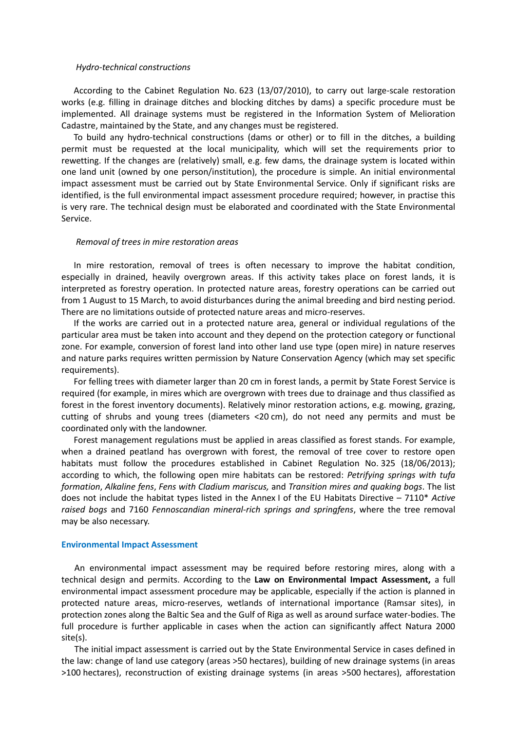#### *Hydro-technical constructions*

According to the Cabinet Regulation No. 623 (13/07/2010), to carry out large-scale restoration works (e.g. filling in drainage ditches and blocking ditches by dams) a specific procedure must be implemented. All drainage systems must be registered in the Information System of Melioration Cadastre, maintained by the State, and any changes must be registered.

To build any hydro-technical constructions (dams or other) or to fill in the ditches, a building permit must be requested at the local municipality, which will set the requirements prior to rewetting. If the changes are (relatively) small, e.g. few dams, the drainage system is located within one land unit (owned by one person/institution), the procedure is simple. An initial environmental impact assessment must be carried out by State Environmental Service. Only if significant risks are identified, is the full environmental impact assessment procedure required; however, in practise this is very rare. The technical design must be elaborated and coordinated with the State Environmental Service.

## *Removal of trees in mire restoration areas*

In mire restoration, removal of trees is often necessary to improve the habitat condition, especially in drained, heavily overgrown areas. If this activity takes place on forest lands, it is interpreted as forestry operation. In protected nature areas, forestry operations can be carried out from 1 August to 15 March, to avoid disturbances during the animal breeding and bird nesting period. There are no limitations outside of protected nature areas and micro-reserves.

If the works are carried out in a protected nature area, general or individual regulations of the particular area must be taken into account and they depend on the protection category or functional zone. For example, conversion of forest land into other land use type (open mire) in nature reserves and nature parks requires written permission by Nature Conservation Agency (which may set specific requirements).

For felling trees with diameter larger than 20 cm in forest lands, a permit by State Forest Service is required (for example, in mires which are overgrown with trees due to drainage and thus classified as forest in the forest inventory documents). Relatively minor restoration actions, e.g. mowing, grazing, cutting of shrubs and young trees (diameters <20 cm), do not need any permits and must be coordinated only with the landowner.

Forest management regulations must be applied in areas classified as forest stands. For example, when a drained peatland has overgrown with forest, the removal of tree cover to restore open habitats must follow the procedures established in Cabinet Regulation No. 325 (18/06/2013); according to which, the following open mire habitats can be restored: *Petrifying springs with tufa formation*, *Alkaline fens*, *Fens with Cladium mariscus,* and *Transition mires and quaking bogs*. The list does not include the habitat types listed in the Annex I of the EU Habitats Directive – 7110\* *Active raised bogs* and 7160 *Fennoscandian mineral-rich springs and springfens*, where the tree removal may be also necessary.

### **Environmental Impact Assessment**

An environmental impact assessment may be required before restoring mires, along with a technical design and permits. According to the **Law on Environmental Impact Assessment,** a full environmental impact assessment procedure may be applicable, especially if the action is planned in protected nature areas, micro-reserves, wetlands of international importance (Ramsar sites), in protection zones along the Baltic Sea and the Gulf of Riga as well as around surface water-bodies. The full procedure is further applicable in cases when the action can significantly affect Natura 2000 site(s).

The initial impact assessment is carried out by the State Environmental Service in cases defined in the law: change of land use category (areas >50 hectares), building of new drainage systems (in areas >100 hectares), reconstruction of existing drainage systems (in areas >500 hectares), afforestation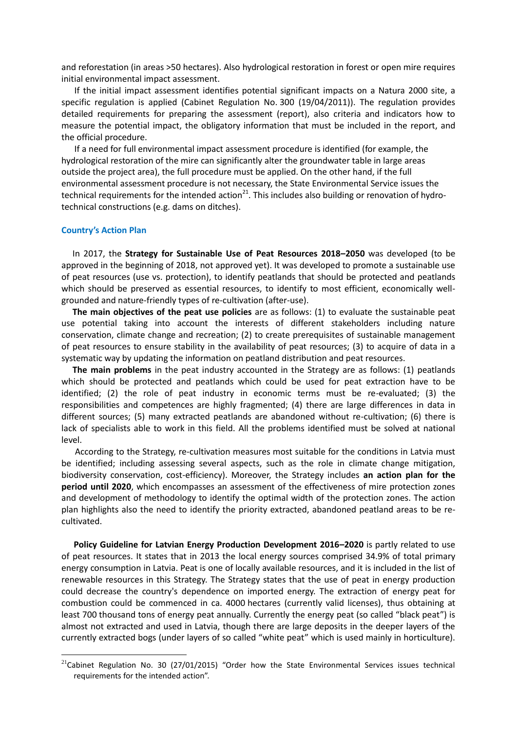and reforestation (in areas >50 hectares). Also hydrological restoration in forest or open mire requires initial environmental impact assessment.

If the initial impact assessment identifies potential significant impacts on a Natura 2000 site, a specific regulation is applied (Cabinet Regulation No. 300 (19/04/2011)). The regulation provides detailed requirements for preparing the assessment (report), also criteria and indicators how to measure the potential impact, the obligatory information that must be included in the report, and the official procedure.

If a need for full environmental impact assessment procedure is identified (for example, the hydrological restoration of the mire can significantly alter the groundwater table in large areas outside the project area), the full procedure must be applied. On the other hand, if the full environmental assessment procedure is not necessary, the State Environmental Service issues the technical requirements for the intended action<sup>21</sup>. This includes also building or renovation of hydrotechnical constructions (e.g. dams on ditches).

#### **Country's Action Plan**

<u>.</u>

In 2017, the **Strategy for Sustainable Use of Peat Resources 2018–2050** was developed (to be approved in the beginning of 2018, not approved yet). It was developed to promote a sustainable use of peat resources (use vs. protection), to identify peatlands that should be protected and peatlands which should be preserved as essential resources, to identify to most efficient, economically wellgrounded and nature-friendly types of re-cultivation (after-use).

**The main objectives of the peat use policies** are as follows: (1) to evaluate the sustainable peat use potential taking into account the interests of different stakeholders including nature conservation, climate change and recreation; (2) to create prerequisites of sustainable management of peat resources to ensure stability in the availability of peat resources; (3) to acquire of data in a systematic way by updating the information on peatland distribution and peat resources.

**The main problems** in the peat industry accounted in the Strategy are as follows: (1) peatlands which should be protected and peatlands which could be used for peat extraction have to be identified; (2) the role of peat industry in economic terms must be re-evaluated; (3) the responsibilities and competences are highly fragmented; (4) there are large differences in data in different sources; (5) many extracted peatlands are abandoned without re-cultivation; (6) there is lack of specialists able to work in this field. All the problems identified must be solved at national level.

According to the Strategy, re-cultivation measures most suitable for the conditions in Latvia must be identified; including assessing several aspects, such as the role in climate change mitigation, biodiversity conservation, cost-efficiency). Moreover, the Strategy includes **an action plan for the period until 2020**, which encompasses an assessment of the effectiveness of mire protection zones and development of methodology to identify the optimal width of the protection zones. The action plan highlights also the need to identify the priority extracted, abandoned peatland areas to be recultivated.

**Policy Guideline for Latvian Energy Production Development 2016–2020** is partly related to use of peat resources. It states that in 2013 the local energy sources comprised 34.9% of total primary energy consumption in Latvia. Peat is one of locally available resources, and it is included in the list of renewable resources in this Strategy. The Strategy states that the use of peat in energy production could decrease the country's dependence on imported energy. The extraction of energy peat for combustion could be commenced in ca. 4000 hectares (currently valid licenses), thus obtaining at least 700 thousand tons of energy peat annually. Currently the energy peat (so called "black peat") is almost not extracted and used in Latvia, though there are large deposits in the deeper layers of the currently extracted bogs (under layers of so called "white peat" which is used mainly in horticulture).

 $21$ Cabinet Regulation No. 30 (27/01/2015) "Order how the State Environmental Services issues technical requirements for the intended action".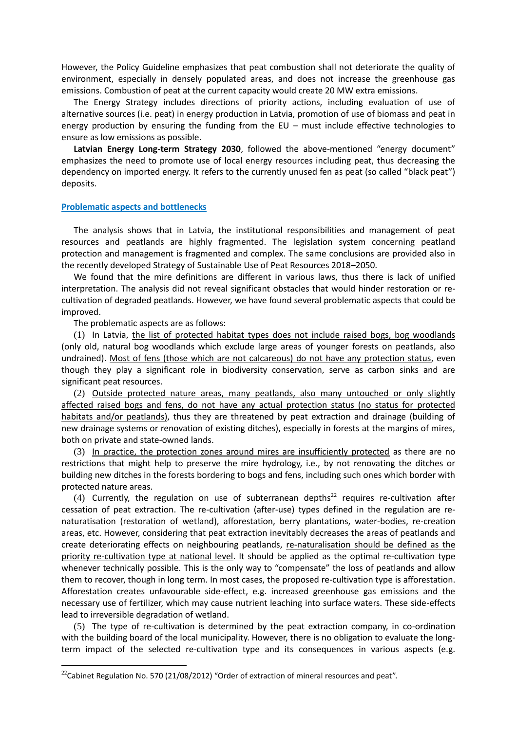However, the Policy Guideline emphasizes that peat combustion shall not deteriorate the quality of environment, especially in densely populated areas, and does not increase the greenhouse gas emissions. Combustion of peat at the current capacity would create 20 MW extra emissions.

The Energy Strategy includes directions of priority actions, including evaluation of use of alternative sources (i.e. peat) in energy production in Latvia, promotion of use of biomass and peat in energy production by ensuring the funding from the  $EU$  – must include effective technologies to ensure as low emissions as possible.

**Latvian Energy Long-term Strategy 2030**, followed the above-mentioned "energy document" emphasizes the need to promote use of local energy resources including peat, thus decreasing the dependency on imported energy. It refers to the currently unused fen as peat (so called "black peat") deposits.

## **Problematic aspects and bottlenecks**

The analysis shows that in Latvia, the institutional responsibilities and management of peat resources and peatlands are highly fragmented. The legislation system concerning peatland protection and management is fragmented and complex. The same conclusions are provided also in the recently developed Strategy of Sustainable Use of Peat Resources 2018–2050.

We found that the mire definitions are different in various laws, thus there is lack of unified interpretation. The analysis did not reveal significant obstacles that would hinder restoration or recultivation of degraded peatlands. However, we have found several problematic aspects that could be improved.

The problematic aspects are as follows:

1

(1) In Latvia, the list of protected habitat types does not include raised bogs, bog woodlands (only old, natural bog woodlands which exclude large areas of younger forests on peatlands, also undrained). Most of fens (those which are not calcareous) do not have any protection status, even though they play a significant role in biodiversity conservation, serve as carbon sinks and are significant peat resources.

(2) Outside protected nature areas, many peatlands, also many untouched or only slightly affected raised bogs and fens, do not have any actual protection status (no status for protected habitats and/or peatlands), thus they are threatened by peat extraction and drainage (building of new drainage systems or renovation of existing ditches), especially in forests at the margins of mires, both on private and state-owned lands.

(3) In practice, the protection zones around mires are insufficiently protected as there are no restrictions that might help to preserve the mire hydrology, i.e., by not renovating the ditches or building new ditches in the forests bordering to bogs and fens, including such ones which border with protected nature areas.

(4) Currently, the regulation on use of subterranean depths<sup>22</sup> requires re-cultivation after cessation of peat extraction. The re-cultivation (after-use) types defined in the regulation are renaturatisation (restoration of wetland), afforestation, berry plantations, water-bodies, re-creation areas, etc. However, considering that peat extraction inevitably decreases the areas of peatlands and create deteriorating effects on neighbouring peatlands, re-naturalisation should be defined as the priority re-cultivation type at national level. It should be applied as the optimal re-cultivation type whenever technically possible. This is the only way to "compensate" the loss of peatlands and allow them to recover, though in long term. In most cases, the proposed re-cultivation type is afforestation. Afforestation creates unfavourable side-effect, e.g. increased greenhouse gas emissions and the necessary use of fertilizer, which may cause nutrient leaching into surface waters. These side-effects lead to irreversible degradation of wetland.

(5) The type of re-cultivation is determined by the peat extraction company, in co-ordination with the building board of the local municipality. However, there is no obligation to evaluate the longterm impact of the selected re-cultivation type and its consequences in various aspects (e.g.

 $22$ Cabinet Regulation No. 570 (21/08/2012) "Order of extraction of mineral resources and peat".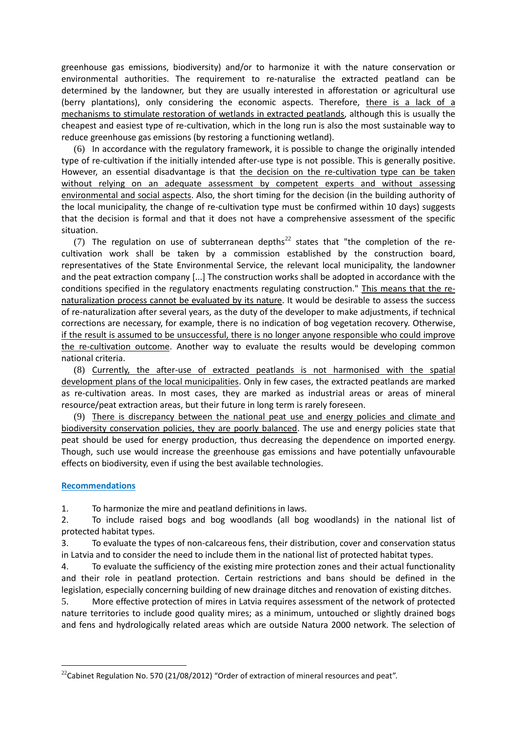greenhouse gas emissions, biodiversity) and/or to harmonize it with the nature conservation or environmental authorities. The requirement to re-naturalise the extracted peatland can be determined by the landowner, but they are usually interested in afforestation or agricultural use (berry plantations), only considering the economic aspects. Therefore, there is a lack of a mechanisms to stimulate restoration of wetlands in extracted peatlands, although this is usually the cheapest and easiest type of re-cultivation, which in the long run is also the most sustainable way to reduce greenhouse gas emissions (by restoring a functioning wetland).

(6) In accordance with the regulatory framework, it is possible to change the originally intended type of re-cultivation if the initially intended after-use type is not possible. This is generally positive. However, an essential disadvantage is that the decision on the re-cultivation type can be taken without relying on an adequate assessment by competent experts and without assessing environmental and social aspects. Also, the short timing for the decision (in the building authority of the local municipality, the change of re-cultivation type must be confirmed within 10 days) suggests that the decision is formal and that it does not have a comprehensive assessment of the specific situation.

(7) The regulation on use of subterranean depths<sup>22</sup> states that "the completion of the recultivation work shall be taken by a commission established by the construction board, representatives of the State Environmental Service, the relevant local municipality, the landowner and the peat extraction company [...] The construction works shall be adopted in accordance with the conditions specified in the regulatory enactments regulating construction." This means that the renaturalization process cannot be evaluated by its nature. It would be desirable to assess the success of re-naturalization after several years, as the duty of the developer to make adjustments, if technical corrections are necessary, for example, there is no indication of bog vegetation recovery. Otherwise, if the result is assumed to be unsuccessful, there is no longer anyone responsible who could improve the re-cultivation outcome. Another way to evaluate the results would be developing common national criteria.

(8) Currently, the after-use of extracted peatlands is not harmonised with the spatial development plans of the local municipalities. Only in few cases, the extracted peatlands are marked as re-cultivation areas. In most cases, they are marked as industrial areas or areas of mineral resource/peat extraction areas, but their future in long term is rarely foreseen.

(9) There is discrepancy between the national peat use and energy policies and climate and biodiversity conservation policies, they are poorly balanced. The use and energy policies state that peat should be used for energy production, thus decreasing the dependence on imported energy. Though, such use would increase the greenhouse gas emissions and have potentially unfavourable effects on biodiversity, even if using the best available technologies.

## **Recommendations**

1

1. To harmonize the mire and peatland definitions in laws.

2. To include raised bogs and bog woodlands (all bog woodlands) in the national list of protected habitat types.

3. To evaluate the types of non-calcareous fens, their distribution, cover and conservation status in Latvia and to consider the need to include them in the national list of protected habitat types.

4. To evaluate the sufficiency of the existing mire protection zones and their actual functionality and their role in peatland protection. Certain restrictions and bans should be defined in the legislation, especially concerning building of new drainage ditches and renovation of existing ditches.

5. More effective protection of mires in Latvia requires assessment of the network of protected nature territories to include good quality mires; as a minimum, untouched or slightly drained bogs and fens and hydrologically related areas which are outside Natura 2000 network. The selection of

 $^{22}$ Cabinet Regulation No. 570 (21/08/2012) "Order of extraction of mineral resources and peat".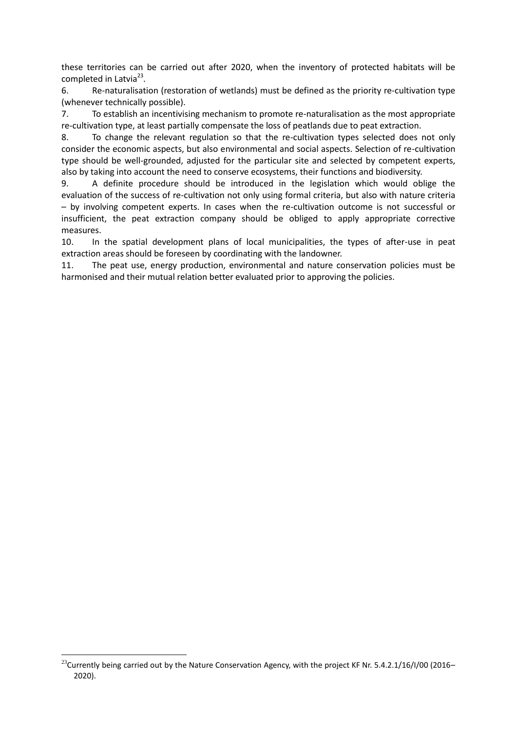these territories can be carried out after 2020, when the inventory of protected habitats will be completed in Latvia<sup>23</sup>.

6. Re-naturalisation (restoration of wetlands) must be defined as the priority re-cultivation type (whenever technically possible).

7. To establish an incentivising mechanism to promote re-naturalisation as the most appropriate re-cultivation type, at least partially compensate the loss of peatlands due to peat extraction.

8. To change the relevant regulation so that the re-cultivation types selected does not only consider the economic aspects, but also environmental and social aspects. Selection of re-cultivation type should be well-grounded, adjusted for the particular site and selected by competent experts, also by taking into account the need to conserve ecosystems, their functions and biodiversity.

9. A definite procedure should be introduced in the legislation which would oblige the evaluation of the success of re-cultivation not only using formal criteria, but also with nature criteria – by involving competent experts. In cases when the re-cultivation outcome is not successful or insufficient, the peat extraction company should be obliged to apply appropriate corrective measures.

10. In the spatial development plans of local municipalities, the types of after-use in peat extraction areas should be foreseen by coordinating with the landowner.

11. The peat use, energy production, environmental and nature conservation policies must be harmonised and their mutual relation better evaluated prior to approving the policies.

<u>.</u>

 $^{23}$ Currently being carried out by the Nature Conservation Agency, with the project KF Nr. 5.4.2.1/16/I/00 (2016– 2020).